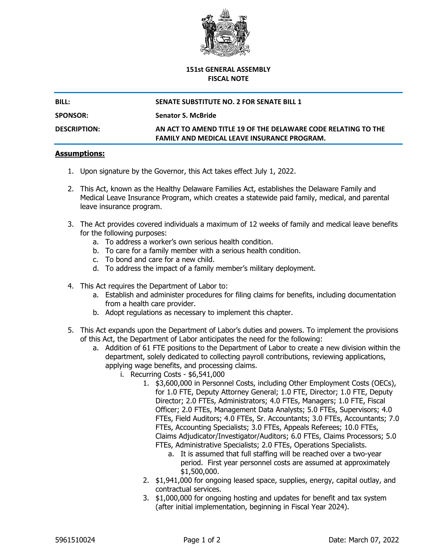

## **151st GENERAL ASSEMBLY FISCAL NOTE**

|  | DILI |  |  |  |
|--|------|--|--|--|
|  |      |  |  |  |
|  |      |  |  |  |

## **BILL: SENATE SUBSTITUTE NO. 2 FOR SENATE BILL 1**

**SPONSOR: Senator S. McBride**

**DESCRIPTION: AN ACT TO AMEND TITLE 19 OF THE DELAWARE CODE RELATING TO THE FAMILY AND MEDICAL LEAVE INSURANCE PROGRAM.**

## **Assumptions:**

- 1. Upon signature by the Governor, this Act takes effect July 1, 2022.
- 2. This Act, known as the Healthy Delaware Families Act, establishes the Delaware Family and Medical Leave Insurance Program, which creates a statewide paid family, medical, and parental leave insurance program.
- 3. The Act provides covered individuals a maximum of 12 weeks of family and medical leave benefits for the following purposes:
	- a. To address a worker's own serious health condition.
	- b. To care for a family member with a serious health condition.
	- c. To bond and care for a new child.
	- d. To address the impact of a family member's military deployment.
- 4. This Act requires the Department of Labor to:
	- a. Establish and administer procedures for filing claims for benefits, including documentation from a health care provider.
	- b. Adopt regulations as necessary to implement this chapter.
- 5. This Act expands upon the Department of Labor's duties and powers. To implement the provisions of this Act, the Department of Labor anticipates the need for the following:
	- a. Addition of 61 FTE positions to the Department of Labor to create a new division within the department, solely dedicated to collecting payroll contributions, reviewing applications, applying wage benefits, and processing claims.
		- i. Recurring Costs \$6,541,000
			- 1. \$3,600,000 in Personnel Costs, including Other Employment Costs (OECs), for 1.0 FTE, Deputy Attorney General; 1.0 FTE, Director; 1.0 FTE, Deputy Director; 2.0 FTEs, Administrators; 4.0 FTEs, Managers; 1.0 FTE, Fiscal Officer; 2.0 FTEs, Management Data Analysts; 5.0 FTEs, Supervisors; 4.0 FTEs, Field Auditors; 4.0 FTEs, Sr. Accountants; 3.0 FTEs, Accountants; 7.0 FTEs, Accounting Specialists; 3.0 FTEs, Appeals Referees; 10.0 FTEs, Claims Adjudicator/Investigator/Auditors; 6.0 FTEs, Claims Processors; 5.0 FTEs, Administrative Specialists; 2.0 FTEs, Operations Specialists.
				- a. It is assumed that full staffing will be reached over a two-year period. First year personnel costs are assumed at approximately \$1,500,000.
			- 2. \$1,941,000 for ongoing leased space, supplies, energy, capital outlay, and contractual services.
			- 3. \$1,000,000 for ongoing hosting and updates for benefit and tax system (after initial implementation, beginning in Fiscal Year 2024).